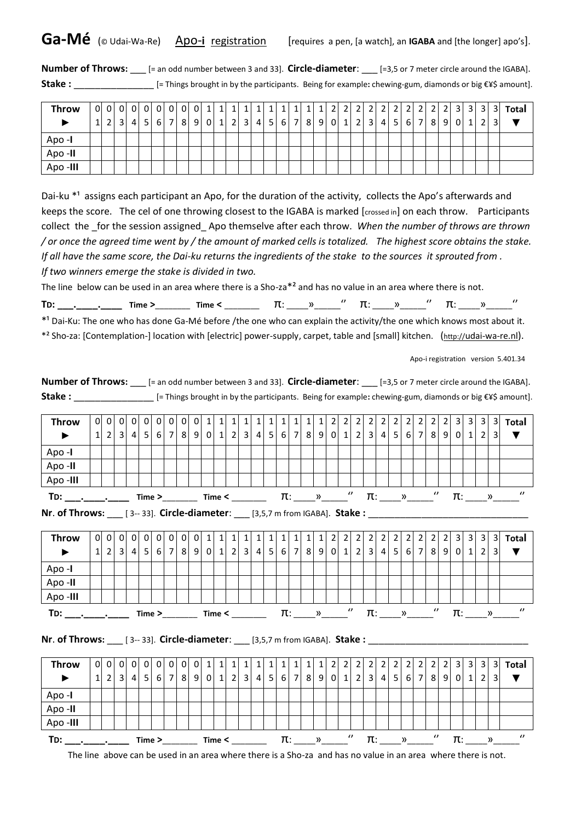**Ga-Mé** (© Udai-Wa-Re) Apo-i registration [requires a pen, [a watch], an IGABA and [the longer] apo's].

**Number of Throws:** \_\_\_ [= an odd number between 3 and 33]. **Circle-diameter**: \_\_\_ [=3,5 or 7 meter circle around the IGABA]. **Stake :** \_\_\_\_\_\_\_\_\_\_\_\_\_\_\_ [= Things brought in by the participants. Being for example**:** chewing-gum, diamonds or big €¥\$ amount].

| <b>Throw</b> |              |                |                | 0 0 0 0 0 0 0 0                      |  | $\overline{0}$ | $0\vert 1\vert$ | $1 \vert$ | 1 | $\mathbf{1}$ | $1\vert$        | $\mathbf{1}$ |  | $\overline{2}$ | 2 <sub>1</sub> | $\overline{2}$ | $\overline{2}$                                      | $\overline{2}$ | 2 2 |   | 3 <sup>1</sup> | 31             | 31             | 3 <sup>l</sup> | Total |
|--------------|--------------|----------------|----------------|--------------------------------------|--|----------------|-----------------|-----------|---|--------------|-----------------|--------------|--|----------------|----------------|----------------|-----------------------------------------------------|----------------|-----|---|----------------|----------------|----------------|----------------|-------|
|              | $\mathbf{1}$ | 2 <sub>1</sub> | 3 <sup>1</sup> | $4 \mid 5 \mid 6 \mid 7 \mid 8 \mid$ |  |                | 9 0 1 2 3       |           |   |              | $4 \mid 5 \mid$ |              |  |                |                |                | $6$   7   8   9   0   1   2   3   4   5   6   7   8 |                |     | 9 | $\overline{0}$ | 1 <sup>1</sup> | $\overline{2}$ |                |       |
| Apo -I       |              |                |                |                                      |  |                |                 |           |   |              |                 |              |  |                |                |                |                                                     |                |     |   |                |                |                |                |       |
| Apo -II      |              |                |                |                                      |  |                |                 |           |   |              |                 |              |  |                |                |                |                                                     |                |     |   |                |                |                |                |       |
| Apo -III     |              |                |                |                                      |  |                |                 |           |   |              |                 |              |  |                |                |                |                                                     |                |     |   |                |                |                |                |       |

Dai-ku  $*1$  assigns each participant an Apo, for the duration of the activity, collects the Apo's afterwards and keeps the score. The cel of one throwing closest to the IGABA is marked [crossed in] on each throw. Participants collect the \_for the session assigned\_ Apo themselve after each throw. *When the number of throws are thrown / or once the agreed time went by / the amount of marked cells is totalized. The highest score obtains the stake. If all have the same score, the Dai-ku returns the ingredients of the stake to the sources it sprouted from . If two winners emerge the stake is divided in two.* 

The line below can be used in an area where there is a Sho-za\*² and has no value in an area where there is not.

| ÷-<br>יי |  | ٢ır<br> | .<br>$\sim$ |  |  |  |  |  |
|----------|--|---------|-------------|--|--|--|--|--|
|          |  |         |             |  |  |  |  |  |

\*<sup>1</sup> Dai-Ku: The one who has done Ga-Mé before /the one who can explain the activity/the one which knows most about it. \*² Sho-za: [Contemplation-] location with [electric] power-supply, carpet, table and [small] kitchen. (http://[udai-wa-re.nl](http://udai-wa-re.nl/)).

Apo-i registration version 5.401.34

| <b>Number of Throws:</b> [= an odd number between 3 and 33]. Circle-diameter: [=3,5 or 7 meter circle around the IGABA]. |  |                |  |     |                                                                                             |  |  |  |  |  |  |  |  |                                            |  |  |  |  |  |               |                       |                      |                 |                         |                       |
|--------------------------------------------------------------------------------------------------------------------------|--|----------------|--|-----|---------------------------------------------------------------------------------------------|--|--|--|--|--|--|--|--|--------------------------------------------|--|--|--|--|--|---------------|-----------------------|----------------------|-----------------|-------------------------|-----------------------|
|                                                                                                                          |  |                |  |     |                                                                                             |  |  |  |  |  |  |  |  |                                            |  |  |  |  |  |               |                       |                      |                 |                         |                       |
|                                                                                                                          |  |                |  |     |                                                                                             |  |  |  |  |  |  |  |  |                                            |  |  |  |  |  |               |                       |                      |                 |                         |                       |
| <b>Throw</b>                                                                                                             |  |                |  |     | $1 \ 2 \ 3 \ 4 \ 5 \ 6 \ 7 \ 8 \ 9 \ 0 \ 1 \ 2 \ 3 \ 4 \ 5 \ 6 \ 7 \ 8 \ 9 \ 0 \ 1 \ 2 \ 1$ |  |  |  |  |  |  |  |  |                                            |  |  |  |  |  |               |                       |                      |                 |                         |                       |
|                                                                                                                          |  |                |  |     |                                                                                             |  |  |  |  |  |  |  |  |                                            |  |  |  |  |  |               |                       |                      |                 | $\overline{\mathbf{3}}$ | $\blacktriangledown$  |
| Apo -I                                                                                                                   |  |                |  |     |                                                                                             |  |  |  |  |  |  |  |  |                                            |  |  |  |  |  |               |                       |                      |                 |                         |                       |
| Apo -II                                                                                                                  |  |                |  |     |                                                                                             |  |  |  |  |  |  |  |  |                                            |  |  |  |  |  |               |                       |                      |                 |                         |                       |
| Apo -III                                                                                                                 |  |                |  |     |                                                                                             |  |  |  |  |  |  |  |  |                                            |  |  |  |  |  |               |                       |                      |                 |                         |                       |
|                                                                                                                          |  |                |  |     |                                                                                             |  |  |  |  |  |  |  |  |                                            |  |  |  |  |  |               |                       | $\pi$ : ____ » _____ |                 |                         | $\prime\prime$        |
|                                                                                                                          |  |                |  |     |                                                                                             |  |  |  |  |  |  |  |  |                                            |  |  |  |  |  |               |                       |                      |                 |                         |                       |
|                                                                                                                          |  |                |  |     |                                                                                             |  |  |  |  |  |  |  |  |                                            |  |  |  |  |  |               |                       |                      |                 |                         |                       |
| <b>Throw</b>                                                                                                             |  | 0 <sub>0</sub> |  | 0 0 |                                                                                             |  |  |  |  |  |  |  |  |                                            |  |  |  |  |  |               |                       |                      |                 | $\vert$ 3               | Total                 |
| $\blacktriangleright$                                                                                                    |  |                |  |     | 1 2 3 4 5 6 7 8 9 0 1 2 3 4 5 6 7 8 9 0 1 2 3 4 5 6 7 8 9 0 1 2 3 4 5 6 7 8 9 0 1 2 3       |  |  |  |  |  |  |  |  |                                            |  |  |  |  |  |               |                       |                      |                 |                         | $\blacktriangledown$  |
| Apo -I                                                                                                                   |  |                |  |     |                                                                                             |  |  |  |  |  |  |  |  |                                            |  |  |  |  |  |               |                       |                      |                 |                         |                       |
| Apo -II                                                                                                                  |  |                |  |     |                                                                                             |  |  |  |  |  |  |  |  |                                            |  |  |  |  |  |               |                       |                      |                 |                         |                       |
| Apo -III                                                                                                                 |  |                |  |     |                                                                                             |  |  |  |  |  |  |  |  |                                            |  |  |  |  |  |               |                       |                      |                 |                         |                       |
|                                                                                                                          |  |                |  |     |                                                                                             |  |  |  |  |  |  |  |  |                                            |  |  |  |  |  |               |                       |                      |                 |                         |                       |
|                                                                                                                          |  |                |  |     |                                                                                             |  |  |  |  |  |  |  |  |                                            |  |  |  |  |  |               |                       |                      |                 |                         | $\pi$ : »             |
| Nr. of Throws: $[3-33]$ . Circle-diameter: $[3,5,7 \text{ m from IGABA}]$ . Stake:                                       |  |                |  |     |                                                                                             |  |  |  |  |  |  |  |  |                                            |  |  |  |  |  |               |                       |                      |                 |                         |                       |
|                                                                                                                          |  |                |  |     |                                                                                             |  |  |  |  |  |  |  |  |                                            |  |  |  |  |  |               |                       |                      |                 |                         |                       |
| <b>Throw</b>                                                                                                             |  | 0 0 0 0        |  |     |                                                                                             |  |  |  |  |  |  |  |  | $0 0 0 0 0 1 1 1 1 1 1 1 1 1 1 1 2 2 2 1 $ |  |  |  |  |  | 2 2 2 2 2 2 3 |                       |                      | $3 \mid 3 \mid$ | 3 <sup>l</sup>          | Total                 |
| $\blacktriangleright$                                                                                                    |  |                |  |     | $1 \ 2 \ 3 \ 4 \ 5 \ 6 \ 7 \ 8 \ 9 \ 0 \ 1 \ 2 \ 3 \ 4 \ 5 \ 6 \ 7 \ 8 \ 9 \ 0 \ 1 \ 2 \ 1$ |  |  |  |  |  |  |  |  |                                            |  |  |  |  |  |               |                       |                      |                 | 3 <sup>1</sup>          | $\blacktriangledown$  |
| Apo-I                                                                                                                    |  |                |  |     |                                                                                             |  |  |  |  |  |  |  |  |                                            |  |  |  |  |  |               |                       |                      |                 |                         |                       |
| Apo -II                                                                                                                  |  |                |  |     |                                                                                             |  |  |  |  |  |  |  |  |                                            |  |  |  |  |  |               |                       |                      |                 |                         |                       |
| Apo -III                                                                                                                 |  |                |  |     |                                                                                             |  |  |  |  |  |  |  |  |                                            |  |  |  |  |  |               |                       |                      |                 |                         |                       |
|                                                                                                                          |  |                |  |     |                                                                                             |  |  |  |  |  |  |  |  |                                            |  |  |  |  |  |               | $\boldsymbol{\theta}$ |                      |                 |                         | $\boldsymbol{\theta}$ |
|                                                                                                                          |  |                |  |     |                                                                                             |  |  |  |  |  |  |  |  |                                            |  |  |  |  |  |               |                       | $\pi$ :              |                 | $\rightarrow$           |                       |

The line above can be used in an area where there is a Sho-za and has no value in an area where there is not.